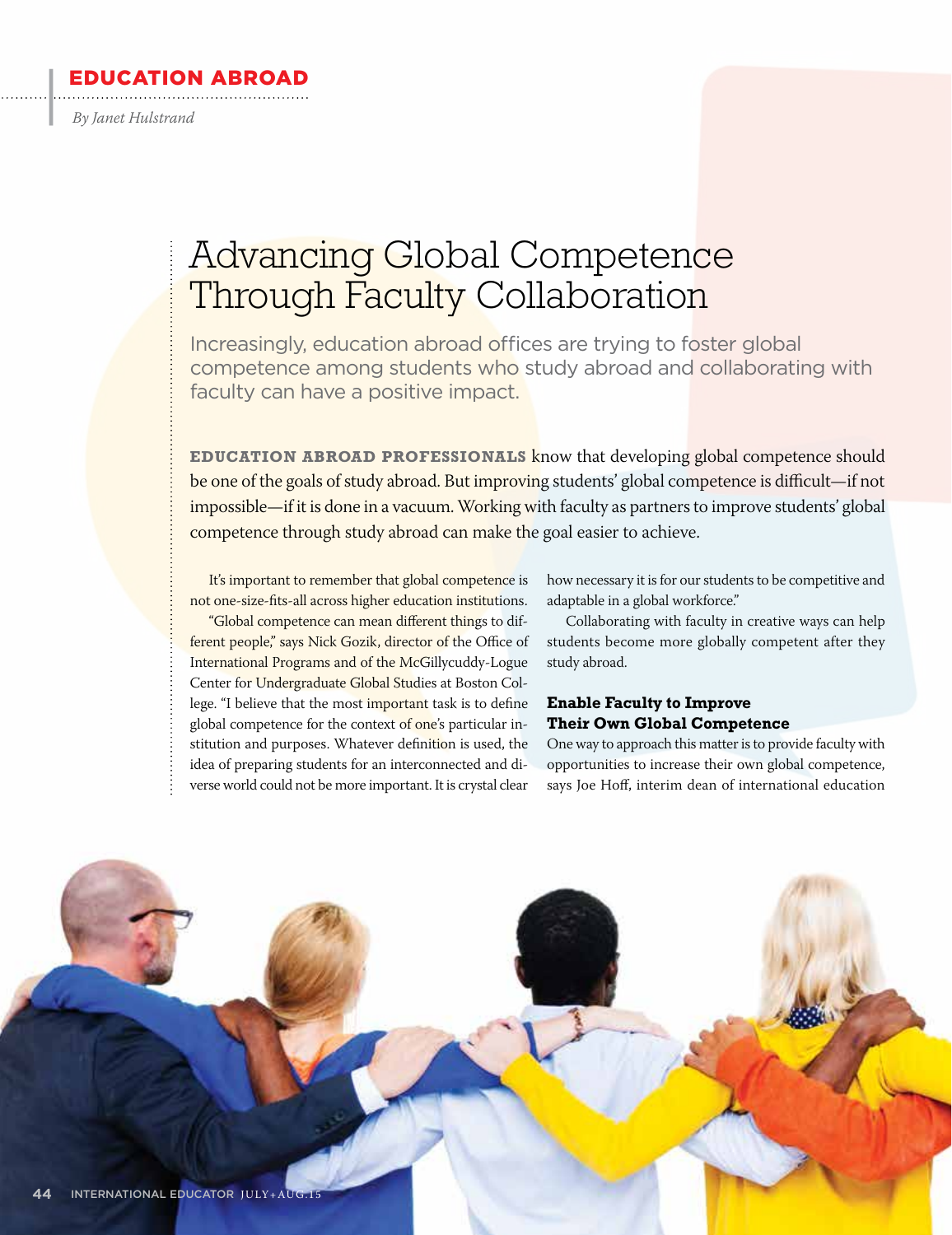#### EDUCATION ABROAD

*By Janet Hulstrand*

 $\cdot$ 

## Advancing Global Competence Through Faculty Collaboration

Increasingly, education abroad offices are trying to foster global competence among students who study abroad and collaborating with faculty can have a positive impact.

**EDUCATION ABROAD PROFESSIONALS** know that developing global competence should be one of the goals of study abroad. But improving students' global competence is difficult—if not impossible—if it is done in a vacuum. Working with faculty as partners to improve students' global competence through study abroad can make the goal easier to achieve.

It's important to remember that global competence is not one-size-fits-all across higher education institutions.

"Global competence can mean different things to different people," says Nick Gozik, director of the Office of International Programs and of the McGillycuddy-Logue Center for Undergraduate Global Studies at Boston College. "I believe that the most important task is to define global competence for the context of one's particular institution and purposes. Whatever definition is used, the idea of preparing students for an interconnected and diverse world could not be more important. It is crystal clear

how necessary it is for our students to be competitive and adaptable in a global workforce."

Collaborating with faculty in creative ways can help students become more globally competent after they study abroad.

#### **Enable Faculty to Improve Their Own Global Competence**

One way to approach this matter is to provide faculty with opportunities to increase their own global competence, says Joe Hoff, interim dean of international education

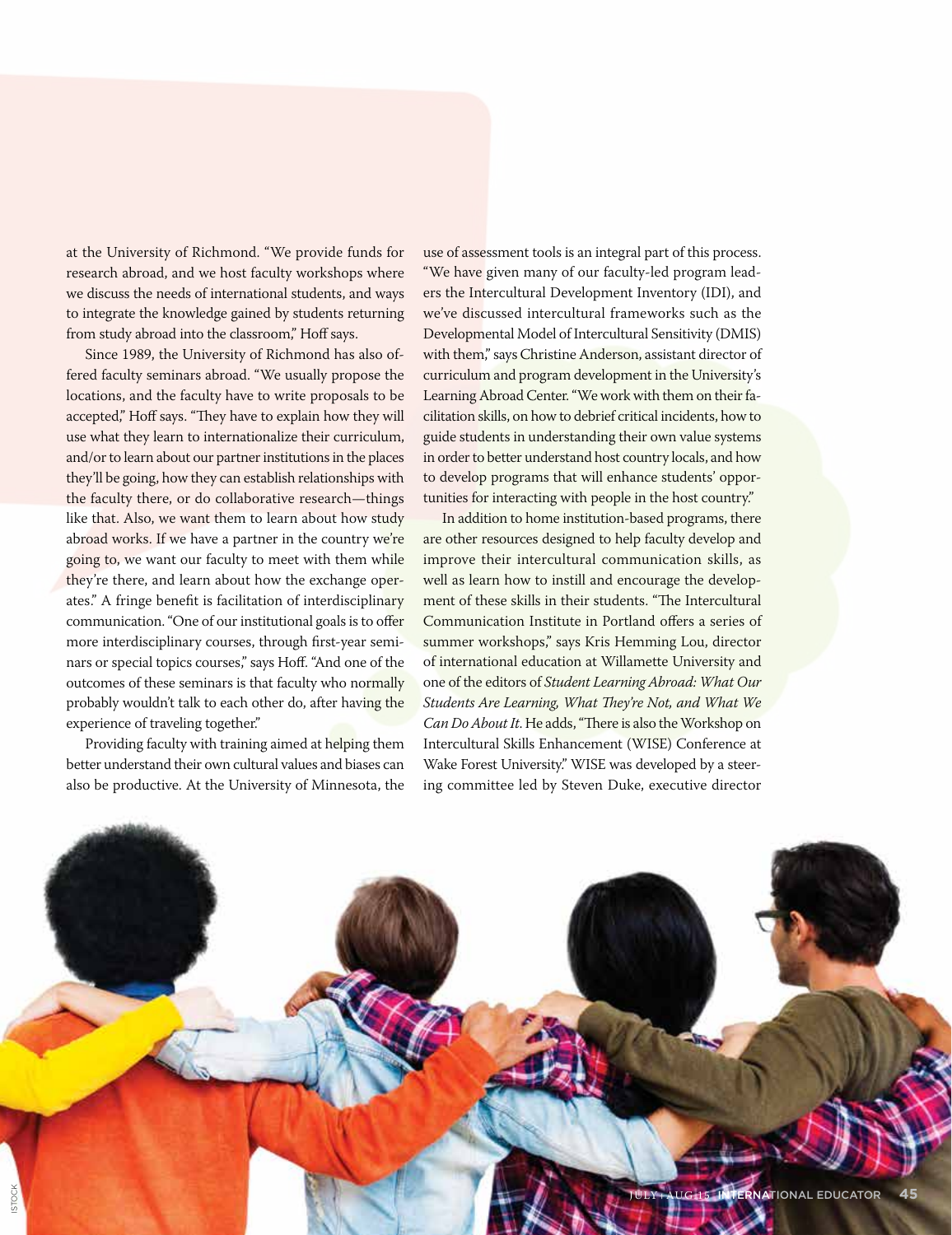at the University of Richmond. "We provide funds for research abroad, and we host faculty workshops where we discuss the needs of international students, and ways to integrate the knowledge gained by students returning from study abroad into the classroom," Hoff says.

Since 1989, the University of Richmond has also offered faculty seminars abroad. "We usually propose the locations, and the faculty have to write proposals to be accepted," Hoff says. "They have to explain how they will use what they learn to internationalize their curriculum, and/or to learn about our partner institutions in the places they'll be going, how they can establish relationships with the faculty there, or do collaborative research—things like that. Also, we want them to learn about how study abroad works. If we have a partner in the country we're going to, we want our faculty to meet with them while they're there, and learn about how the exchange operates." A fringe benefit is facilitation of interdisciplinary communication. "One of our institutional goals is to offer more interdisciplinary courses, through first-year seminars or special topics courses," says Hoff. "And one of the outcomes of these seminars is that faculty who normally probably wouldn't talk to each other do, after having the experience of traveling together."

Providing faculty with training aimed at helping them better understand their own cultural values and biases can also be productive. At the University of Minnesota, the use of assessment tools is an integral part of this process. "We have given many of our faculty-led program leaders the Intercultural Development Inventory (IDI), and we've discussed intercultural frameworks such as the Developmental Model of Intercultural Sensitivity (DMIS) with them," says Christine Anderson, assistant director of curriculum and program development in the University's Learning Abroad Center. "We work with them on their facilitation skills, on how to debrief critical incidents, how to guide students in understanding their own value systems in order to better understand host country locals, and how to develop programs that will enhance students' opportunities for interacting with people in the host country."

In addition to home institution-based programs, there are other resources designed to help faculty develop and improve their intercultural communication skills, as well as learn how to instill and encourage the development of these skills in their students. "The Intercultural Communication Institute in Portland offers a series of summer workshops," says Kris Hemming Lou, director of international education at Willamette University and one of the editors of *Student Learning Abroad: What Our Students Are Learning, What They're Not, and What We Can Do About It*. He adds, "There is also the Workshop on Intercultural Skills Enhancement (WISE) Conference at Wake Forest University." WISE was developed by a steering committee led by Steven Duke, executive director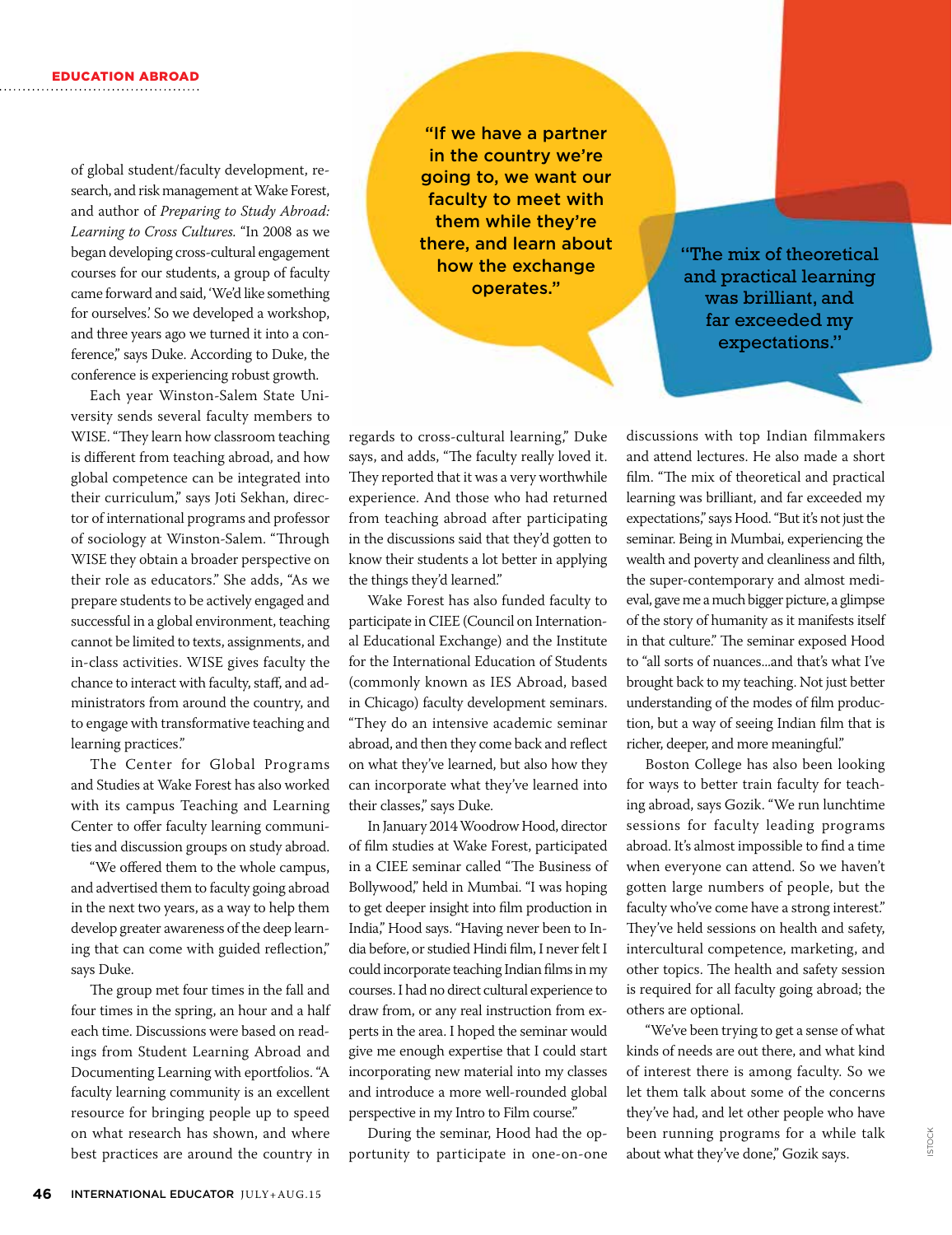of global student/faculty development, research, and risk management at Wake Forest, and author of *Preparing to Study Abroad: Learning to Cross Cultures.* "In 2008 as we began developing cross-cultural engagement courses for our students, a group of faculty came forward and said, 'We'd like something for ourselves.' So we developed a workshop, and three years ago we turned it into a conference," says Duke. According to Duke, the conference is experiencing robust growth.

Each year Winston-Salem State University sends several faculty members to WISE. "They learn how classroom teaching is different from teaching abroad, and how global competence can be integrated into their curriculum," says Joti Sekhan, director of international programs and professor of sociology at Winston-Salem. "Through WISE they obtain a broader perspective on their role as educators." She adds, "As we prepare students to be actively engaged and successful in a global environment, teaching cannot be limited to texts, assignments, and in-class activities. WISE gives faculty the chance to interact with faculty, staff, and administrators from around the country, and to engage with transformative teaching and learning practices."

The Center for Global Programs and Studies at Wake Forest has also worked with its campus Teaching and Learning Center to offer faculty learning communities and discussion groups on study abroad.

"We offered them to the whole campus, and advertised them to faculty going abroad in the next two years, as a way to help them develop greater awareness of the deep learning that can come with guided reflection," says Duke.

The group met four times in the fall and four times in the spring, an hour and a half each time. Discussions were based on readings from Student Learning Abroad and Documenting Learning with eportfolios. "A faculty learning community is an excellent resource for bringing people up to speed on what research has shown, and where best practices are around the country in

"If we have a partner in the country we're going to, we want our faculty to meet with them while they're there, and learn about how the exchange operates."

"The mix of theoretical and practical learning was brilliant, and far exceeded my expectations."

regards to cross-cultural learning," Duke says, and adds, "The faculty really loved it. They reported that it was a very worthwhile experience. And those who had returned from teaching abroad after participating in the discussions said that they'd gotten to know their students a lot better in applying the things they'd learned."

Wake Forest has also funded faculty to participate in CIEE (Council on International Educational Exchange) and the Institute for the International Education of Students (commonly known as IES Abroad, based in Chicago) faculty development seminars. "They do an intensive academic seminar abroad, and then they come back and reflect on what they've learned, but also how they can incorporate what they've learned into their classes," says Duke.

In January 2014 Woodrow Hood, director of film studies at Wake Forest, participated in a CIEE seminar called "The Business of Bollywood," held in Mumbai. "I was hoping to get deeper insight into film production in India," Hood says. "Having never been to India before, or studied Hindi film, I never felt I could incorporate teaching Indian films in my courses. I had no direct cultural experience to draw from, or any real instruction from experts in the area. I hoped the seminar would give me enough expertise that I could start incorporating new material into my classes and introduce a more well-rounded global perspective in my Intro to Film course."

During the seminar, Hood had the opportunity to participate in one-on-one discussions with top Indian filmmakers and attend lectures. He also made a short film. "The mix of theoretical and practical learning was brilliant, and far exceeded my expectations," says Hood. "But it's not just the seminar. Being in Mumbai, experiencing the wealth and poverty and cleanliness and filth, the super-contemporary and almost medieval, gave me a much bigger picture, a glimpse of the story of humanity as it manifests itself in that culture." The seminar exposed Hood to "all sorts of nuances...and that's what I've brought back to my teaching. Not just better understanding of the modes of film production, but a way of seeing Indian film that is richer, deeper, and more meaningful."

Boston College has also been looking for ways to better train faculty for teaching abroad, says Gozik. "We run lunchtime sessions for faculty leading programs abroad. It's almost impossible to find a time when everyone can attend. So we haven't gotten large numbers of people, but the faculty who've come have a strong interest." They've held sessions on health and safety, intercultural competence, marketing, and other topics. The health and safety session is required for all faculty going abroad; the others are optional.

"We've been trying to get a sense of what kinds of needs are out there, and what kind of interest there is among faculty. So we let them talk about some of the concerns they've had, and let other people who have been running programs for a while talk about what they've done," Gozik says.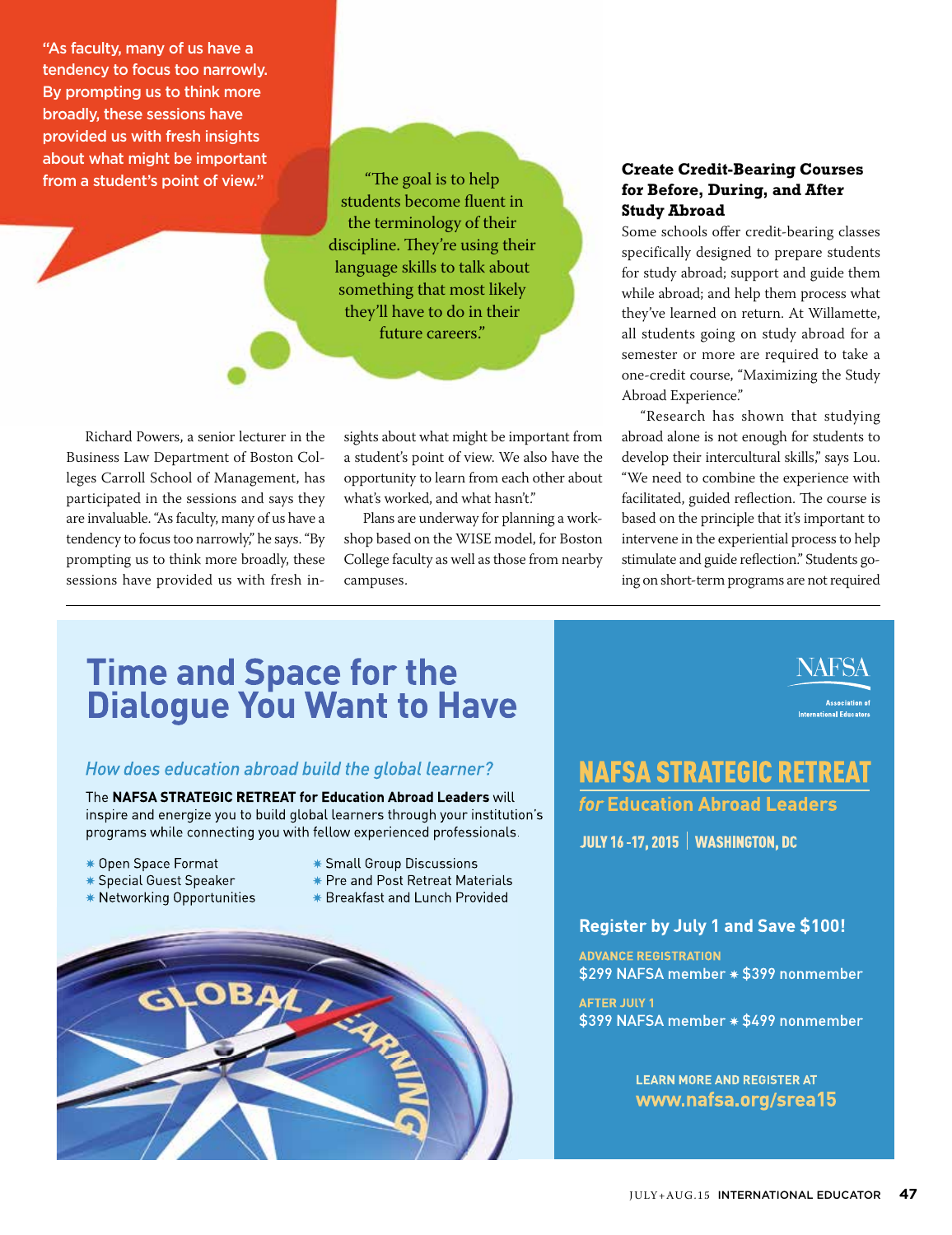"As faculty, many of us have a tendency to focus too narrowly. By prompting us to think more broadly, these sessions have provided us with fresh insights about what might be important from a student's point of view."

"The goal is to help students become fluent in the terminology of their discipline. They're using their language skills to talk about something that most likely they'll have to do in their future careers."

Richard Powers, a senior lecturer in the Business Law Department of Boston Colleges Carroll School of Management, has participated in the sessions and says they are invaluable. "As faculty, many of us have a tendency to focus too narrowly," he says. "By prompting us to think more broadly, these sessions have provided us with fresh insights about what might be important from a student's point of view. We also have the opportunity to learn from each other about what's worked, and what hasn't."

Plans are underway for planning a workshop based on the WISE model, for Boston College faculty as well as those from nearby campuses.

#### **Create Credit-Bearing Courses for Before, During, and After Study Abroad**

Some schools offer credit-bearing classes specifically designed to prepare students for study abroad; support and guide them while abroad; and help them process what they've learned on return. At Willamette, all students going on study abroad for a semester or more are required to take a one-credit course, "Maximizing the Study Abroad Experience."

"Research has shown that studying abroad alone is not enough for students to develop their intercultural skills," says Lou. "We need to combine the experience with facilitated, guided reflection. The course is based on the principle that it's important to intervene in the experiential process to help stimulate and guide reflection." Students going on short-term programs are not required

> **Association of** nal Educator

# **Time and Space for the<br>Dialogue You Want to Have**

#### How does education abroad build the global learner?

The NAFSA STRATEGIC RETREAT for Education Abroad Leaders will inspire and energize you to build global learners through your institution's programs while connecting you with fellow experienced professionals.

- \* Open Space Format
- **\*** Special Guest Speaker
- \* Networking Opportunities
- \* Small Group Discussions
- \* Pre and Post Retreat Materials
- \* Breakfast and Lunch Provided



**NAFSA STRATEGIC RETREAT** 

*for* **Education Abroad Leaders** 

**JULY 16-17, 2015 | WASHINGTON, DC** 

#### Register by July 1 and Save \$100!

**ADVANCE REGISTRATION** \$299 NAFSA member \* \$399 nonmember

**AFTER JULY 1** \$399 NAFSA member \* \$499 nonmember

> **LEARN MORE AND REGISTER AT** www.nafsa.org/srea15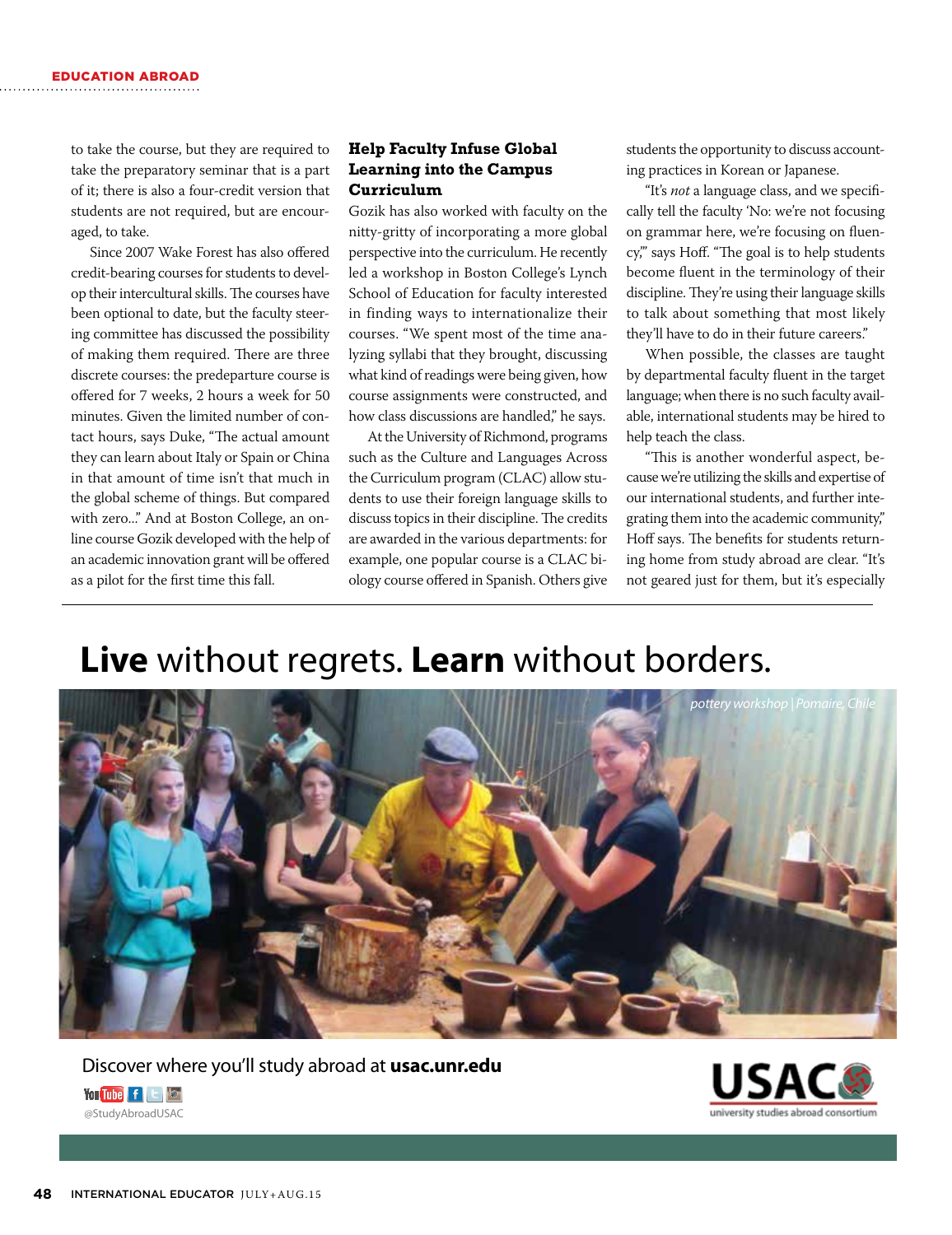to take the course, but they are required to take the preparatory seminar that is a part of it; there is also a four-credit version that students are not required, but are encouraged, to take.

Since 2007 Wake Forest has also offered credit-bearing courses for students to develop their intercultural skills. The courses have been optional to date, but the faculty steering committee has discussed the possibility of making them required. There are three discrete courses: the predeparture course is offered for 7 weeks, 2 hours a week for 50 minutes. Given the limited number of contact hours, says Duke, "The actual amount they can learn about Italy or Spain or China in that amount of time isn't that much in the global scheme of things. But compared with zero..." And at Boston College, an online course Gozik developed with the help of an academic innovation grant will be offered as a pilot for the first time this fall.

#### **Help Faculty Infuse Global Learning into the Campus Curriculum**

Gozik has also worked with faculty on the nitty-gritty of incorporating a more global perspective into the curriculum. He recently led a workshop in Boston College's Lynch School of Education for faculty interested in finding ways to internationalize their courses. "We spent most of the time analyzing syllabi that they brought, discussing what kind of readings were being given, how course assignments were constructed, and how class discussions are handled," he says.

At the University of Richmond, programs such as the Culture and Languages Across the Curriculum program (CLAC) allow students to use their foreign language skills to discuss topics in their discipline. The credits are awarded in the various departments: for example, one popular course is a CLAC biology course offered in Spanish. Others give students the opportunity to discuss accounting practices in Korean or Japanese.

"It's *not* a language class, and we specifically tell the faculty 'No: we're not focusing on grammar here, we're focusing on fluency,'" says Hoff. "The goal is to help students become fluent in the terminology of their discipline. They're using their language skills to talk about something that most likely they'll have to do in their future careers."

When possible, the classes are taught by departmental faculty fluent in the target language; when there is no such faculty available, international students may be hired to help teach the class.

"This is another wonderful aspect, because we're utilizing the skills and expertise of our international students, and further integrating them into the academic community," Hoff says. The benefits for students returning home from study abroad are clear. "It's not geared just for them, but it's especially

## **Live** without regrets. **Learn** without borders.



#### Discover where you'll study abroad at **usac.unr.edu**